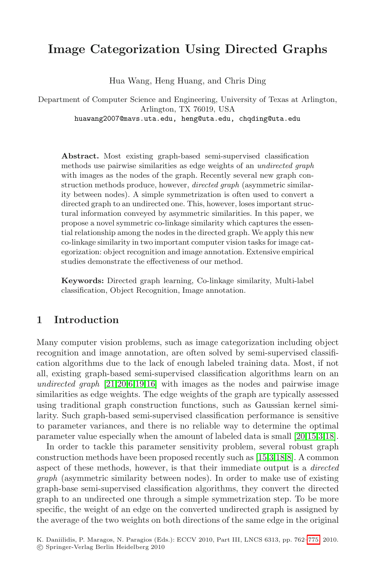# **Image Categorization Using Directed Graphs**

Hua Wang, Heng Huang, and Chris Ding

Department of Computer Science and Engineering, University of Texas at Arlington, Arlington, TX 76019, USA huawang2007@mavs.uta.edu, heng@uta.edu, chqding@uta.edu

**Abstract.** Most existing graph-based semi-supervised classification methods use pairwise similarities as edge weights of an *undirected graph* with images as the nodes of the graph. Recently several new graph construction methods produce, however, *directed graph* (asymmetric similarity between nodes). A simple symmetrization is often used to convert a directed graph to an undirected one. This, however, loses important structural information conveyed by asymmetric similarities. In this paper, we propose a novel symmetric co-linkage similarity which captures the essential relationship among the nodes in the directed graph. We apply this new co-linkage similarity in two important computer vision tasks for image categorization: object recognition and image annotation. Extensive empirical studies demonstrate the effectiveness of our method.

**Keywords:** Directed graph learning, Co-linkage similarity, Multi-label classification, Object Recognition, Image annotation.

### **1 Introduction**

Many computer vision problems, such as image categorization including object recognition and image annotation, are often sol[ved](#page-13-0) [by](#page-13-1) [s](#page-13-2)[emi](#page-13-3)-supervised classification algorithms due to the lack of enough labeled training data. Most, if not all, existing graph-based semi-supervi[sed](#page-13-1) [c](#page-13-2)[las](#page-13-3)[sifi](#page-13-4)cation algorithms learn on an *undirected graph* [21,20,6,19,16] with images as the nodes and pairwise image similarities as edge weights. The edge weights of the graph are typically assessed using traditional graph construction functions, such as Gaussian kernel similarity. Such graph-based semi-supervised classification performance is sensitive to parameter variances, and there is no reliable way to determine the optimal parameter value especially when the amount of labeled data is small [20,15,3,18].

In order to tackle this parameter sensitivity problem, several robust graph construction methods have been proposed recently s[uch a](#page-13-5)s [15,3,18,8]. A common aspect of these methods, however, is that their immediate output is a *directed graph* (asymmetric similarity between nodes). In order to make use of existing graph-base semi-supervised classification algorithms, they convert the directed graph to an undirected one through a simple symmetrization step. To be more specific, the weight of an edge on the converted undirected graph is assigned by the average of the two weights on both directions of the same edge in the original

K. Daniilidis, P. Maragos, N. Paragios (Eds.): ECCV 2010, Part III, LNCS 6313, pp. 762–775, 2010. -c Springer-Verlag Berlin Heidelberg 2010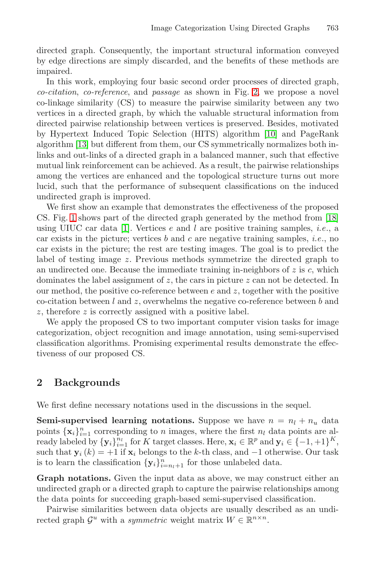directed graph. Consequently, the impo[rtan](#page-13-6)t structural information conveyed by edge directions are simply discarded, and the benefits of these methods are impaired.

In this work, employing four basic second order processes of directed graph, *co-citation*, *co-reference*, and *passage* as shown in Fig. 2, we propose a novel co-linkage similarity (CS) to measure the pairwise similarity between any two vertices in a directed graph, by which the valuable structural information from directed pairwise relationship between vertices is preserved. Besides, motivated by Hypertext Induced Topic Selection (HITS) algorith[m \[](#page-13-3)10] and PageRank alg[ori](#page-13-7)thm [13] but different from them, our CS symmetrically normalizes both inlinks and out-links of a directed graph in a balanced manner, such that effective mutual link reinforcement can be achieved. As a result, the pairwise relationships among the vertices are enhanced and the topological structure turns out more lucid, such that the performance of subsequent classifications on the induced undirected graph is improved.

We first show an example that demonstrates the effectiveness of the proposed CS. Fig. 1 shows part of the directed graph generated by the method from [18] using UIUC car data [1]. Vertices e and l are positive training samples, *i.e*., a car exists in the picture; vertices b and c are negative training samples, *i.e*., no car exists in the picture; the rest are testing images. The goal is to predict the label of testing image z. Previous methods symmetrize the directed graph to an undirected one. Because the immediate training in-neighbors of  $z$  is  $c$ , which dominates the label assignment of  $z$ , the cars in picture  $z$  can not be detected. In our method, the positive co-reference between  $e$  and  $z$ , together with the positive co-citation between l and z, overwhelms the negative co-reference between b and z, therefore z is correctly assigned with a positive label.

We apply the proposed CS to two important computer vision tasks for image categorization, object recognition and image annotation, using semi-supervised classification algorithms. Promising experimental results demonstrate the effectiveness of our proposed CS.

## **2 Backgrounds**

We first define necessary notations used in the discussions in the sequel.

**Semi-supervised learning notations.** Suppose we have  $n = n_l + n_u$  data points  $\{x_i\}_{i=1}^n$  corresponding to n images, where the first  $n_l$  data points are already labeled by  ${\bf \{y_i\}}_{i=1}^{n_l}$  for K target classes. Here,  ${\bf x}_i \in \mathbb{R}^p$  and  ${\bf y}_i \in \{-1, +1\}^K$ , such that  $y_i(k) = +1$  if  $x_i$  belongs to the k-th class, and  $-1$  otherwise. Our task is to learn the classification  $\{y_i\}_{i=n_l+1}^n$  for those unlabeled data.

**Graph notations.** Given the input data as above, we may construct either an undirected graph or a directed graph to capture the pairwise relationships among the data points for succeeding graph-based semi-supervised classification.

Pairwise similarities between data objects are usually described as an undirected graph  $G^u$  with a *symmetric* weight matrix  $W \in \mathbb{R}^{n \times n}$ .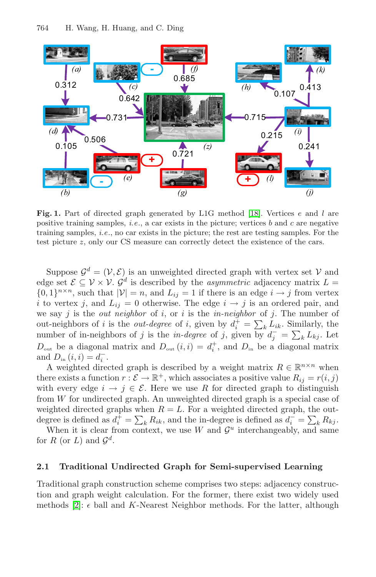

<span id="page-2-0"></span>**Fig. 1.** Part of directed graph generated by L1G method [18]. Vertices *e* and *l* are positive training samples, *i.e*., a car exists in the picture; vertices *b* and *c* are negative training samples, *i.e*., no car exists in the picture; the rest are testing samples. For the test picture *z*, only our CS measure can correctly detect the existence of the cars.

Suppose  $\mathcal{G}^d = (\mathcal{V}, \mathcal{E})$  is an unweighted directed graph with vertex set V and edge set  $\mathcal{E} \subseteq \mathcal{V} \times \mathcal{V}$ .  $\mathcal{G}^d$  is described by the *asymmetric* adjacency matrix  $L =$  $\{0,1\}^{n\times n}$ , such that  $|\mathcal{V}| = n$ , and  $L_{ij} = 1$  if there is an edge  $i \to j$  from vertex i to vertex j, and  $L_{ij} = 0$  otherwise. The edge  $i \rightarrow j$  is an ordered pair, and we say j is the *out neighbor* of i, or i is the *in-neighbor* of j. The number of out-neighbors of i is the *out-degree* of i, given by  $d_i^+ = \sum_k L_{ik}$ . Similarly, the number of in-neighbors of j is the *in-degree* of j, given by  $d_i^-=\sum_k L_{kj}$ . Let  $D_{\text{out}}$  be a diagonal matrix and  $D_{\text{out}}(i,i) = d_i^+$ , and  $D_{\text{in}}$  be a diagonal matrix and  $D_{\text{in}}(i, i) = d_i^-$ .

A weighted directed graph is described by a weight matrix  $R \in \mathbb{R}^{n \times n}$  when there exists a function  $r : \mathcal{E} \to \mathbb{R}^+$ , which associates a positive value  $R_{ij} = r(i, j)$ with every edge  $i \to j \in \mathcal{E}$ . Here we use R for directed graph to distinguish from W for undirected graph. An unweighted directed graph is a special case of weighted directed graphs when  $R = L$ . For a weighted directed graph, the outdegree is defined as  $d_i^{\dagger} = \sum_k R_{ik}$ , and the in-degree is defined as  $d_i^{\dagger} = \sum_k R_{kj}$ .

When it is clear from context, we use  $W$  and  $\mathcal{G}^u$  interchangeably, and same for R (or L) and  $\mathcal{G}^d$ .

#### **2.1 Traditional Undirected Graph for Semi-supervised Learning**

Traditional graph construction scheme comprises two steps: adjacency construction and graph weight calculation. For the former, there exist two widely used methods  $[2]$ :  $\epsilon$  ball and K-Nearest Neighbor methods. For the latter, although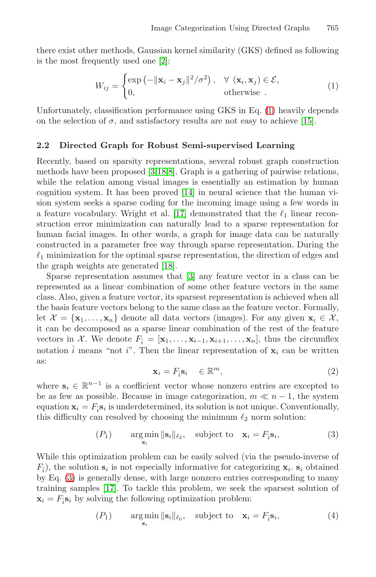<span id="page-3-1"></span><span id="page-3-0"></span>there exist other methods, Gaussian kernel similarity (GKS) defined as following is the most frequently used one [2]:

$$
W_{ij} = \begin{cases} \exp\left(-\|\mathbf{x}_i - \mathbf{x}_j\|^2/\sigma^2\right), & \forall \ (\mathbf{x}_i, \mathbf{x}_j) \in \mathcal{E}, \\ 0, & \text{otherwise} \end{cases}
$$
(1)

Unfortunately, clas[sific](#page-13-8)ation performance using GKS in Eq. (1) heavily depends on the selection of  $\sigma$ , and satisfactory results are not easy to achieve [15].

#### **2.2 Directed Graph for Robust Semi-supervised Learning**

Recently, based on sparsity representations, several robust graph construction methods have been proposed [3,18,8]. Graph is a gathering of pairwise relations, while the rela[tion](#page-13-3) among visual images is essentially an estimation by human cognition system. It [ha](#page-13-2)s been proved [14] in neural science that the human vision system seeks a sparse coding for the incoming image using a few words in a feature vocabulary. Wright et al. [17] demonstrated that the  $\ell_1$  linear reconstruction error minimization can naturally lead to a sparse representation for human facial images. In other words, a graph for image data can be naturally constructed in a parameter free way through sparse representation. During the  $\ell_1$  minimization for the optimal sparse representation, the direction of edges and the graph weights are generated [18].

Sparse representation assumes that [3] any feature vector in a class can be represented as a linear combination of some other feature vectors in the same class. Also, given a feature vector, its sparsest representation is achieved when all the basis feature vectors belong to the same class as the feature vector. Formally, let  $\mathcal{X} = {\mathbf{x}_1, \ldots, \mathbf{x}_n}$  denote all data vectors (images). For any given  $\mathbf{x}_i \in \mathcal{X}$ , it can be decomposed as a sparse linear combination of the rest of the feature vectors in X. We denote  $F_i = [\mathbf{x}_1, \ldots, \mathbf{x}_{i-1}, \mathbf{x}_{i+1}, \ldots, \mathbf{x}_n]$ , thus the circumflex notation  $\hat{i}$  means "not  $i$ ". Then the linear representation of  $x_i$  can be written as:

$$
\mathbf{x}_i = F_{\hat{i}} \mathbf{s}_i \quad \in \mathbb{R}^m,\tag{2}
$$

where  $\mathbf{s}_i \in \mathbb{R}^{n-1}$  is a coefficient vector whose nonzero entries are excepted to be as few as possible. Because in image categorization,  $m \ll n - 1$ , the system [eq](#page-13-9)uation  $\mathbf{x}_i = F_i \mathbf{s}_i$  is underdetermined, its solution is not unique. Conventionally, this difficulty can resolved by choosing the minimum  $\ell_2$  norm solution:

$$
(P_1) \quad \mathop{\rm arg\,min}_{\mathbf{s}_i} \|\mathbf{s}_i\|_{\ell_2}, \quad \text{subject to} \quad \mathbf{x}_i = F_{\hat{i}} \mathbf{s}_i,\tag{3}
$$

While this optimization problem can be easily solved (via the pseudo-inverse of  $F_i$ ), the solution  $s_i$  is not especially informative for categorizing  $x_i$ .  $s_i$  obtained by Eq. (3) is generally dense, with large nonzero entries corresponding to many training samples [17]. To tackle this problem, we seek the sparsest solution of  $\mathbf{x}_i = F_i \mathbf{s}_i$  by solving the following optimization problem:

$$
(P_1) \quad \mathop{\rm arg\,min}_{\mathbf{s}_i} \|\mathbf{s}_i\|_{\ell_0}, \quad \text{subject to} \quad \mathbf{x}_i = F_{\hat{i}} \mathbf{s}_i,\tag{4}
$$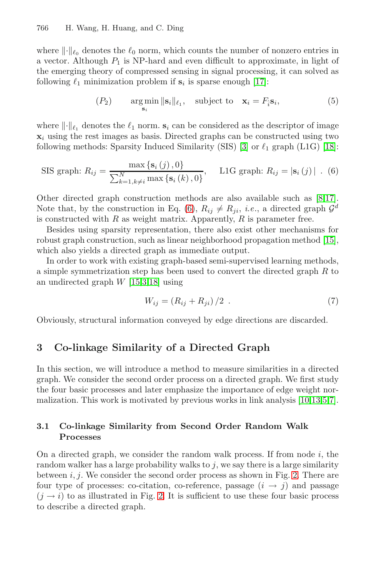where  $\lVert \cdot \rVert_{\ell_0}$  denotes the  $\ell_0$  norm, which counts the number of nonzero entries in a vector. Although  $P_1$  is NP-hard [an](#page-13-2)d even difficult to [appr](#page-13-3)oximate, in light of the emerging theory of compressed sensing in signal processing, it can solved as following  $\ell_1$  minimization problem if  $s_i$  is sparse enough [17]:

<span id="page-4-0"></span>
$$
(P_2) \qquad \underset{\mathbf{s}_i}{\text{arg min}} \|\mathbf{s}_i\|_{\ell_1}, \quad \text{subject to} \quad \mathbf{x}_i = F_{\hat{i}} \mathbf{s}_i,\tag{5}
$$

where  $\|\cdot\|_{\ell_1}$  denotes [th](#page-4-0)e  $\ell_1$  norm.  $s_i$  can be considered as the descriptor of image  $x_i$  using the rest images as basis. Directed graphs can be constructed using two following methods: Sparsity Induced Similarity (SIS) [3] or  $\ell_1$  graph (L1G) [18]:

SIS graph: 
$$
R_{ij} = \frac{\max\{s_i(j), 0\}}{\sum_{k=1, k \neq i}^{N} \max\{s_i(k), 0\}}, \quad \text{L1G graph: } R_{ij} = |s_i(j)|
$$
. (6)

<span id="page-4-1"></span>Othe[r di](#page-13-1)[re](#page-13-2)[cte](#page-13-3)d graph construction methods are also available such as [8,17]. Note that, by the construction in Eq. (6),  $R_{ij} \neq R_{ji}$ , *i.e.*, a directed graph  $\mathcal{G}^d$ is constructed with  $R$  as weight matrix. Apparently,  $R$  is parameter free.

Besides using sparsity representation, there also exist other mechanisms for robust graph construction, such as linear neighborhood propagation method [15], which also yields a directed graph as immediate output.

In order to work with existing graph-based semi-supervised learning methods, a simple symmetrization step has been used to convert the directed graph R to an undirected graph  $W$  [15,3,18] using

$$
W_{ij} = (R_{ij} + R_{ji})/2 \t\t(7)
$$

Obviously, structural information conveyed by ed[ge d](#page-13-6)[ire](#page-13-10)[ct](#page-13-11)[io](#page-13-12)ns are discarded.

# **3 Co-linkage Similarity of a Directed Graph**

In this section, we will introduce a method to measure similarities in a directed graph. We consider the second order process on a directed graph. We first study the four basic processes and later emphasize the [im](#page-5-0)portance of edge weight normalization. This work is motivated by previous works in link analysis [10,13,5,7].

### **3.1 Co-linkage Similarity from Second Order Random Walk Processes**

On a directed graph, we consider the random walk process. If from node  $i$ , the random walker has a large probability walks to  $j$ , we say there is a large similarity between  $i, j$ . We consider the second order process as shown in Fig. 2. There are four type of processes: co-citation, co-reference, passage  $(i \rightarrow j)$  and passage  $(j \rightarrow i)$  to as illustrated in Fig. 2. It is sufficient to use these four basic process to describe a directed graph.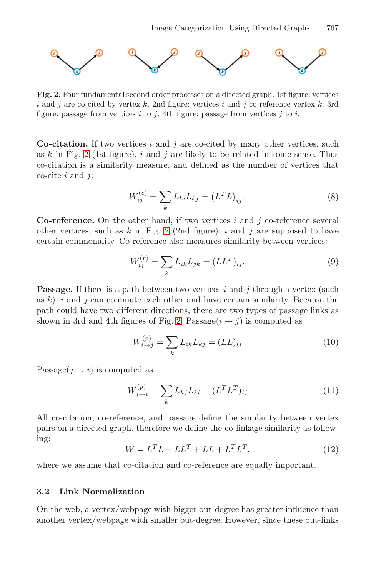<span id="page-5-0"></span>

**Fig. 2.** Four fundamental second order processes on a directed graph. 1st figure: vertices *i* and *j* are co-cited by vertex *k*. 2nd figure: vertices *i* and *j* co-reference vertex *k*. 3rd figure: passage from vertices *i* to *j*. 4th figure: passage from vertices *j* to *i*.

**Co-citation.** If two vertices  $i$  and  $j$  are co-cited by many other vertices, such as k in Fig. 2 [\(1](#page-5-0)st figure), i and j are likely to be related in some sense. Thus co-citation is a similarity measure, and defined as the number of vertices that co-cite  $i$  and  $j$ :

$$
W_{ij}^{(c)} = \sum_{k} L_{ki} L_{kj} = (L^{T} L)_{ij}.
$$
 (8)

**Co-reference.** On the other hand, if two vertices  $i$  and  $j$  co-reference several other vertices, such as  $k$  in Fig. 2 (2nd figure),  $i$  and  $j$  are supposed to have certain commona[lit](#page-5-0)y. Co-reference also measures similarity between vertices:

$$
W_{ij}^{(r)} = \sum_{k} L_{ik} L_{jk} = (LL^{T})_{ij}.
$$
 (9)

**Passage.** If there is a path between two vertices i and j through a vertex (such as  $k$ ), i and j can commute each other and have certain similarity. Because the path could have two different directions, there are two types of passage links as shown in 3rd and 4th figures of Fig. 2. Passage( $i \rightarrow j$ ) is computed as

$$
W_{i \to j}^{(p)} = \sum_{k} L_{ik} L_{kj} = (LL)_{ij}
$$
 (10)

Passage( $j \rightarrow i$ ) is computed as

$$
W_{j \to i}^{(p)} = \sum_{k} L_{kj} L_{ki} = (L^T L^T)_{ij}
$$
\n(11)

All co-citation, co-reference, and passage define the similarity between vertex pairs on a directed graph, therefore we define the co-linkage similarity as following:

$$
W = LTL + LLT + LL + LTLT.
$$
\n(12)

where we assume that co-citation and co-reference are equally important.

### **3.2 Link Normalization**

On the web, a vertex/webpage with bigger out-degree has greater influence than another vertex/webpage with smaller out-degree. However, since these out-links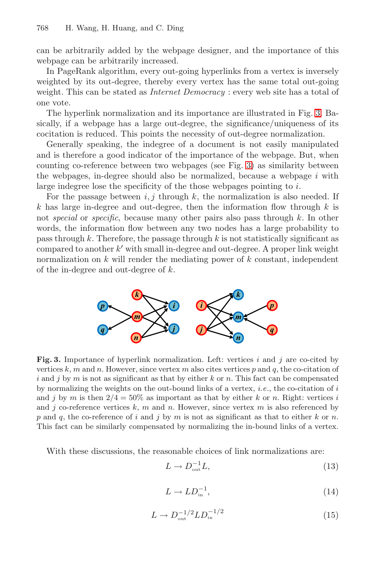can be arbitrarily added by the webpage designer, and the importance of this webpage can be arbitrarily increased.

In PageRank algorithm, every out-going hyperlinks from a vertex is inversely weighted by its out-degree, thereby [e](#page-6-0)very vertex has the same total out-going weight. This can be stated as *Internet Democracy* : every web site has a total of one vote.

The hyperlink normalization and its importance are illustrated in Fig. 3. Basically, if a webpage has a large out-degree, the significance/uniqueness of its cocitation is reduced. This points the necessity of out-degree normalization.

Generally speaking, the indegree of a document is not easily manipulated and is therefore a good indicator of the importance of the webpage. But, when counting co-reference between two webpages (see Fig. 3) as similarity between the webpages, in-degree should also be normalized, because a webpage  $i$  with large indegree lose the specificity of the those webpages pointing to i.

For the passage between  $i, j$  through k, the normalization is also needed. If  $k$  has large in-degree and out-degree, then the information flow through  $k$  is not *special* or *specific*, because many other pairs also pass through k. In other words, the information flow between any two nodes has a large probability to pass through k. Therefore, the passage through  $k$  is not statistically significant as compared to another  $k'$  with small in-degree and out-degree. A proper link weight normalization on  $k$  will render the mediating power of  $k$  constant, independent of the in-degree and out-degree of k.



<span id="page-6-0"></span>**Fig. 3.** Importance of hyperlink normalization. Left: vertices *i* and *j* are co-cited by vertices *k*, *m* and *n*. However, since vertex *m* also cites vertices *p* and *q*, the co-citation of *i* and *j* by *m* is not as significant as that by either *k* or *n*. This fact can be compensated by normalizing the weights on the out-bound links of a vertex, *i.e*., the co-citation of *i* and *j* by *m* is then  $2/4 = 50\%$  as important as that by either *k* or *n*. Right: vertices *i* and *j* co-reference vertices *k*, *m* and *n*. However, since vertex *m* is also referenced by *p* and *q*, the co-reference of *i* and *j* by *m* is not as significant as that to either *k* or *n*. This fact can be similarly compensated by normalizing the in-bound links of a vertex.

<span id="page-6-1"></span>With these discussions, the reasonable choices of link normalizations are:

$$
L \to D_{\text{out}}^{-1}L,\tag{13}
$$

$$
L \to LD_{\rm in}^{-1},\tag{14}
$$

$$
L \to D_{\rm out}^{-1/2} L D_{\rm in}^{-1/2} \tag{15}
$$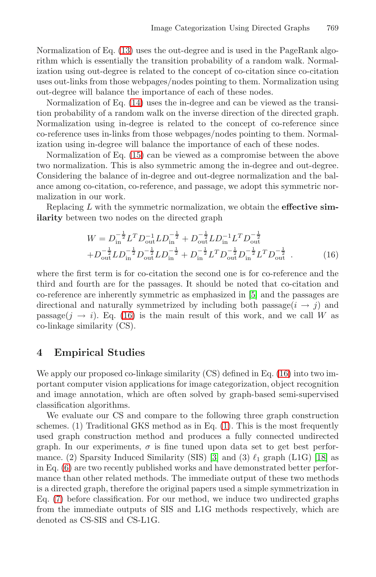Normalization of Eq. (13) uses the out-degree and is used in the PageRank algorithm which is essentially the transition probability of a random walk. Normalizatio[n u](#page-6-1)sing out-degree is related to the concept of co-citation since co-citation uses out-links from those webpages/nodes pointing to them. Normalization using out-degree will balance the importance of each of these nodes.

Normalization of Eq. (14) uses the in-degree and can be viewed as the transition probability of a random walk on the inverse direction of the directed graph. Normalization using in-degree is related to the concept of co-reference since co-reference uses in-links from those webpages/nodes pointing to them. Normalization using in-degree will balance the importance of each of these nodes.

<span id="page-7-0"></span>Normalization of Eq. (15) can be viewed as a compromise between the above two normalization. This is also symmetric among the in-degree and out-degree. Considering the balance of in-degree and out-degree normalization and the balance among co-citation, co-reference, and passage, we adopt this symmetric normalization in our work.

Replacing L with the symmetric normalization, we obtain the **effective similarity** between two nodes on the di[rec](#page-13-11)ted graph

$$
W = D_{\text{in}}^{-\frac{1}{2}} L^T D_{\text{out}}^{-1} L D_{\text{in}}^{-\frac{1}{2}} + D_{\text{out}}^{-\frac{1}{2}} L D_{\text{in}}^{-1} L^T D_{\text{out}}^{-\frac{1}{2}} + D_{\text{out}}^{-\frac{1}{2}} L D_{\text{in}}^{-\frac{1}{2}} L D_{\text{in}}^{-\frac{1}{2}} + D_{\text{in}}^{-\frac{1}{2}} L^T D_{\text{out}}^{-\frac{1}{2}} L^T D_{\text{out}}^{-\frac{1}{2}} L^T D_{\text{out}}^{-\frac{1}{2}} .
$$
 (16)

where the first term is for co-citation the second one is for co-reference and the third and fourth are for the passages. It should be noted that co-citation and co-reference are inherently symmetric as em[pha](#page-7-0)sized in [5] and the passages are directional and naturally symmetrized by including both passage( $i \rightarrow j$ ) and passage( $j \rightarrow i$ ). Eq. (16) is the main result of this work, and we call W as co-linkage similarity (CS).

#### **4 Empirical Studies**

We apply our proposed co-l[in](#page-13-2)kage similarity (CS) defin[ed in](#page-13-3) Eq. (16) into two important computer vision applications for image categorization, object recognition and image annotation, which are often solved by graph-based semi-supervised classification algorithms.

We evaluate our CS and compare to the following three graph construction schemes. (1) Traditional GKS method as in Eq. (1). This is the most frequently used graph construction method and produces a fully connected undirected graph. In our experiments,  $\sigma$  is fine tuned upon data set to get best performance. (2) Sparsity Induced Similarity (SIS) [3] and (3)  $\ell_1$  graph (L1G) [18] as in Eq. (6) are two recently published works and have demonstrated better performance than other related methods. The immediate output of these two methods is a directed graph, therefore the original papers used a simple symmetrization in Eq. (7) before classification. For our method, we induce two undirected graphs from the immediate outputs of SIS and L1G methods respectively, which are denoted as CS-SIS and CS-L1G.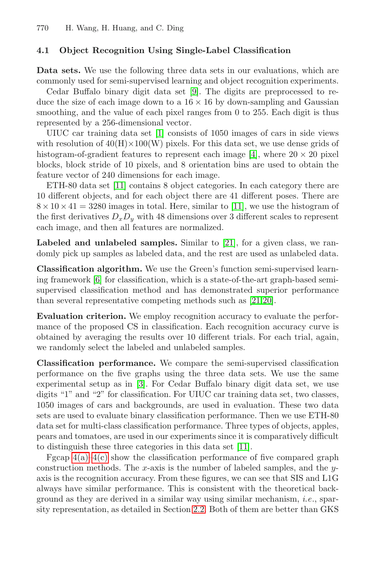### **4.1 Obje[ct](#page-13-7) Recognition Using Single-Label Classification**

**Data sets.** We use the following th[ree](#page-13-13) data sets in our evaluations, which are commonly used for semi-supervised learning and object recognition experiments.

Cedar Buffalo binary digit data set [9]. The digits are preprocessed to red[uce](#page-13-14) the size of each image down to a  $16 \times 16$  by down-sampling and Gaussian smoothing, and the value of each pixel ranges from 0 to 255. Each digit is thus represented by a 256-dimension[al ve](#page-13-14)ctor.

UIUC car training data set [1] consists of 1050 images of cars in side views with resolution of  $40(H) \times 100(W)$  pixels. For this data set, we use dense grids of histogram-of-gradient features to represent each image [4], where  $20 \times 20$  pixel blocks, block stride of 10 pix[els,](#page-13-15) and 8 orientation bins are used to obtain the feature vector of 240 dimensions for each image.

ETH-80 data set [11] contains 8 object categories. In each category there are 10 different objects, and for each object there are 41 different poses. There are  $8 \times 10 \times 41 = 3280$  images in total. Here, similar to [11], we use the histogram of the first derivatives  $D_x D_y$  with 48 di[men](#page-13-15)[sio](#page-13-0)ns over 3 different scales to represent each image, and then all features are normalized.

**Labeled and unlabeled samples.** Similar to [21], for a given class, we randomly pick up samples as labeled data, and the rest are used as unlabeled data.

**Classification algorithm.** We use the Green's function semi-supervised learning framework [6] for classification, which is a state-of-the-art graph-based semisupervised classification method and has demonstrated superior performance than se[ve](#page-13-2)ral representative competing methods such as [21,20].

**Evaluation criterion.** We employ recognition accuracy to evaluate the performance of the proposed CS in classification. Each recognition accuracy curve is obtained by averaging the results over 10 different trials. For each trial, again, we randomly select the labeled and unlabeled samples.

**Classification performance.** [We c](#page-13-14)ompare the semi-supervised classification performance on the five graphs using the three data sets. We use the same experimental setup as in [3]. For Cedar Buffalo binary digit data set, we use digits "1" and "2" for classification. For UIUC car training data set, two classes, 1050 images of cars and backgrounds, are used in evaluation. These two data sets are used to evaluate binary classification performance. Then we use ETH-80 data set for multi-clas[s cla](#page-3-1)ssification performance. Three types of objects, apples, pears and tomatoes, are used in our experiments since it is comparatively difficult to distinguish these three categories in this data set [11].

Fgcap  $4(a)-4(c)$  show the classification performance of five compared graph construction methods. The x-axis is the number of labeled samples, and the  $y$ axis is the recognition accuracy. From these figures, we can see that SIS and L1G always have similar performance. This is consistent with the theoretical background as they are derived in a similar way using similar mechanism, *i.e*., sparsity representation, as detailed in Section 2.2. Both of them are better than GKS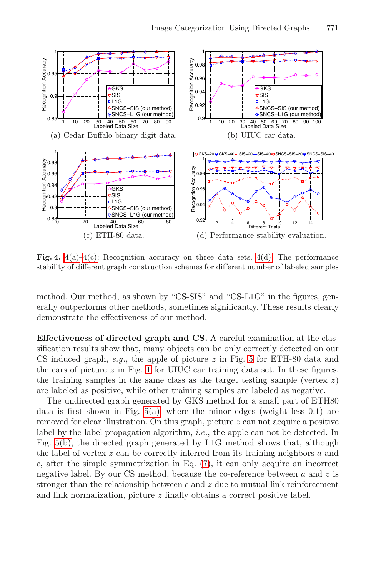<span id="page-9-0"></span>

**Fig. 4.** 4(a)–4(c): Recognition accuracy on three data sets. 4(d): The performance stability of different graph construction schemes for different number of labeled samples

method. [Ou](#page-2-0)r method, as shown by "CS-SIS" and "CS-L1G" in the figures, generally outperforms other methods, sometimes significantly. These results clearly demonstrate the effectiveness of our method.

**Effectiv[eness](#page-10-0) of directed graph and CS.** A careful examination at the classification results show that, many objects can be only correctly detected on our CS induced graph, *e.g*., the apple of picture z in Fig. 5 for ETH-80 data and the cars of picture  $z$  in Fig. 1 for UIUC car training data set. In these figures, the training samples in [th](#page-4-1)e same class as the target testing sample (vertex  $z$ ) are labeled as positive, while other training samples are labeled as negative.

The undirected graph generated by GKS method for a small part of ETH80 data is first shown in Fig.  $5(a)$ , where the minor edges (weight less 0.1) are removed for clear illustration. On this graph, picture z can not acquire a positive label by the label propagation algorithm, *i.e*., the apple can not be detected. In Fig. 5(b), the directed graph generated by L1G method shows that, although the label of vertex z can be correctly inferred from its training neighbors a and  $c$ , after the simple symmetrization in Eq.  $(7)$ , it can only acquire an incorrect negative label. By our CS method, because the co-reference between  $a$  and  $z$  is stronger than the relationship between  $c$  and  $z$  due to mutual link reinforcement and link normalization, picture z finally obtains a correct positive label.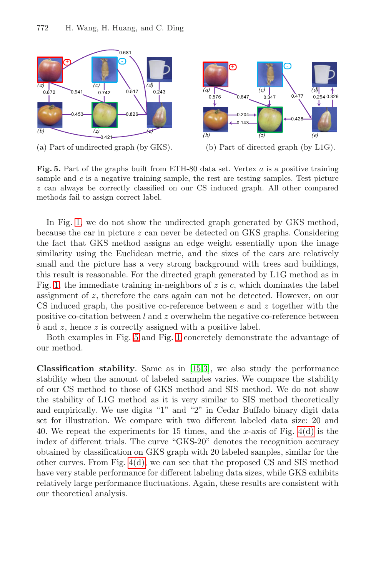<span id="page-10-1"></span><span id="page-10-0"></span>

**Fig. 5.** Part of the graphs built from ETH-80 data set. Vertex *a* is a positive training sample and *c* is a negative training sample, the rest are testing samples. Test picture *z* can always be correctly classified on our CS induced graph. All other compared methods fail to assign correct label.

In Fig. 1, we do not show the undirected graph generated by GKS method, because the car in picture z can never be detected on GKS graphs. Considering the fact that GKS method assigns an edge weight essentially upon the image simila[rit](#page-10-1)y using t[he](#page-2-0) Euclidean metric, and the sizes of the cars are relatively small and the picture has a very strong background with trees and buildings, this result is reasonable. For the directed graph generated by L1G method as in Fig. 1, the immediate [tr](#page-13-1)[ain](#page-13-2)ing in-neighbors of  $z$  is  $c$ , which dominates the label assignment of z, therefore the cars again can not be detected. However, on our CS induced graph, the positive co-reference between  $e$  and  $z$  together with the positive co-citation between  $l$  and  $z$  overwhelm the negative co-reference between b and z, hence z is correctly assigned with a positive label.

Both examples in Fig. 5 and Fig. 1 concretely demonstrate the advantage of our method.

**Classification stability**. Same as in [15,3], we also study the performance stabi[lity w](#page-9-0)hen the amount of labeled samples varies. We compare the stability of our CS method to those of GKS method and SIS method. We do not show the stability of L1G method as it is very similar to SIS method theoretically and empirically. We use digits "1" and "2" in Cedar Buffalo binary digit data set for illustration. We compare with two different labeled data size: 20 and 40. We repeat the experiments for 15 times, and the x-axis of Fig.  $4(d)$  is the index of different trials. The curve "GKS-20" denotes the recognition accuracy obtained by classification on GKS graph with 20 labeled samples, similar for the other curves. From Fig. 4(d), we can see that the proposed CS and SIS method have very stable performance for different labeling data sizes, while GKS exhibits relatively large performance fluctuations. Again, these results are consistent with our theoretical analysis.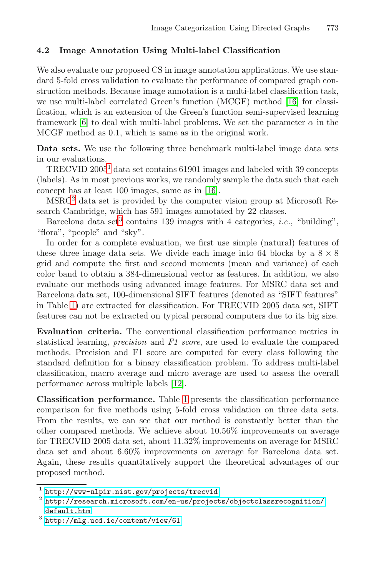# **4.2 Image Annotation Using Multi-label Classification**

We also evaluate our proposed CS in image annotation applications. We use standard 5-fold cross validation to evaluate the performance of compared graph con[s](#page-11-0)truction methods. Because image annotation is a multi-label classification task, we use multi-label correlated Green's function (MCGF) method [16] for classification, which is an exte[nsio](#page-13-16)n of the Green's function semi-supervised learning framework [6] to deal with multi-label problems. We set the parameter  $\alpha$  in the M[C](#page-11-1)GF method as 0.1, which is same as in the original work.

**Data sets.** We use the following three benchmark multi-label image data sets in our evaluations.

TRECVID 2005<sup>1</sup> data set contains 61901 images and labeled with 39 concepts (labels). As in most previous works, we randomly sample the data such that each concept has at least 100 images, same as in [16].

MSRC<sup>2</sup> data set is provided by the computer vision group at Microsoft Research Cambridge, which has 591 images annotated by 22 classes.

Barcelona data set<sup>3</sup> contains 139 images with 4 categories, *i.e.*, "building", "flora", "people" and "sky".

In order for a complete evaluation, we first use simple (natural) features of these three image data sets. We divide each image into 64 blocks by a  $8 \times 8$ grid and compute the first and second moments (mean and variance) of each color band to obtain a 384-dimensional vector as features. In addition, we also evaluate our methods using advanced image features. For MSRC data set and Barcelona data set, 100-dimensional SIFT features (denoted as "SIFT features" in Table 1) are [extr](#page-13-17)acted for classification. For TRECVID 2005 data set, SIFT features can not be [e](#page-12-0)xtracted on typical personal computers due to its big size.

**Evaluation criteria.** The conventional classification performance metrics in statistical learning, *precision* and *F1 score*, are used to evaluate the compared methods. Precision and F1 score are computed for every class following the standard definition for a binary classification problem. To address multi-label classification, macro average and micro average are used to assess the overall performance across multiple labels [12].

<span id="page-11-0"></span>**Classification performance.** Table 1 presents the classification performance [comparison for five methods](http://www-nlpir.nist.gov/projects/trecvid) using 5-fold cross validation on three data sets. [From the results, we can see that our method is const](http://research.microsoft.com/en-us/projects/objectclassrecognition/default.htm)antly better than the other compared methods. We achieve about 10.56% improvements on average [for TRECVID 2005](http://mlg.ucd.ie/content/view/61) data set, about 11.32% improvements on average for MSRC data set and about 6.60% improvements on average for Barcelona data set. Again, these results quantitatively support the theoretical advantages of our proposed method.

<span id="page-11-1"></span><sup>&</sup>lt;sup>1</sup> http://www-nlpir.nist.gov/projects/trecvid

<sup>2</sup> http://research.microsoft.com/en-us/projects/objectclassrecognition/ default.htm

<sup>3</sup> http://mlg.ucd.ie/content/view/61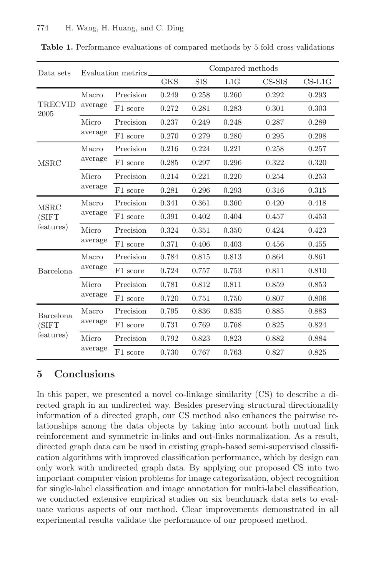| Data sets                               | Evaluation metrics. |           | Compared methods |            |       |              |          |
|-----------------------------------------|---------------------|-----------|------------------|------------|-------|--------------|----------|
|                                         |                     |           | <b>GKS</b>       | <b>SIS</b> | L1G   | $CS$ - $SIS$ | $CS-L1G$ |
| <b>TRECVID</b><br>2005                  | Macro<br>average    | Precision | 0.249            | 0.258      | 0.260 | 0.292        | 0.293    |
|                                         |                     | F1 score  | 0.272            | 0.281      | 0.283 | 0.301        | 0.303    |
|                                         | Micro<br>average    | Precision | 0.237            | 0.249      | 0.248 | 0.287        | 0.289    |
|                                         |                     | F1 score  | 0.270            | 0.279      | 0.280 | 0.295        | 0.298    |
| <b>MSRC</b>                             | Macro<br>average    | Precision | 0.216            | 0.224      | 0.221 | 0.258        | 0.257    |
|                                         |                     | F1 score  | 0.285            | 0.297      | 0.296 | 0.322        | 0.320    |
|                                         | Micro<br>average    | Precision | 0.214            | 0.221      | 0.220 | 0.254        | 0.253    |
|                                         |                     | F1 score  | 0.281            | 0.296      | 0.293 | 0.316        | 0.315    |
| <b>MSRC</b><br>(SIFT<br>features)       | Macro<br>average    | Precision | 0.341            | 0.361      | 0.360 | 0.420        | 0.418    |
|                                         |                     | F1 score  | 0.391            | 0.402      | 0.404 | 0.457        | 0.453    |
|                                         | Micro<br>average    | Precision | 0.324            | 0.351      | 0.350 | 0.424        | 0.423    |
|                                         |                     | F1 score  | 0.371            | 0.406      | 0.403 | 0.456        | 0.455    |
| Barcelona                               | Macro<br>average    | Precision | 0.784            | 0.815      | 0.813 | 0.864        | 0.861    |
|                                         |                     | F1 score  | 0.724            | 0.757      | 0.753 | 0.811        | 0.810    |
|                                         | Micro<br>average    | Precision | 0.781            | 0.812      | 0.811 | 0.859        | 0.853    |
|                                         |                     | F1 score  | 0.720            | 0.751      | 0.750 | 0.807        | 0.806    |
| <b>Barcelona</b><br>(SIFT)<br>features) | Macro<br>average    | Precision | 0.795            | 0.836      | 0.835 | 0.885        | 0.883    |
|                                         |                     | F1 score  | 0.731            | 0.769      | 0.768 | 0.825        | 0.824    |
|                                         | Micro<br>average    | Precision | 0.792            | 0.823      | 0.823 | 0.882        | 0.884    |
|                                         |                     | F1 score  | 0.730            | 0.767      | 0.763 | 0.827        | 0.825    |

<span id="page-12-0"></span>**Table 1.** Performance evaluations of compared methods by 5-fold cross validations

# **5 Conclusions**

In this paper, we presented a novel co-linkage similarity (CS) to describe a directed graph in an undirected way. Besides preserving structural directionality information of a directed graph, our CS method also enhances the pairwise relationships among the data objects by taking into account both mutual link reinforcement and symmetric in-links and out-links normalization. As a result, directed graph data can be used in existing graph-based semi-supervised classification algorithms with improved classification performance, which by design can only work with undirected graph data. By applying our proposed CS into two important computer vision problems for image categorization, object recognition for single-label classification and image annotation for multi-label classification, we conducted extensive empirical studies on six benchmark data sets to evaluate various aspects of our method. Clear improvements demonstrated in all experimental results validate the performance of our proposed method.